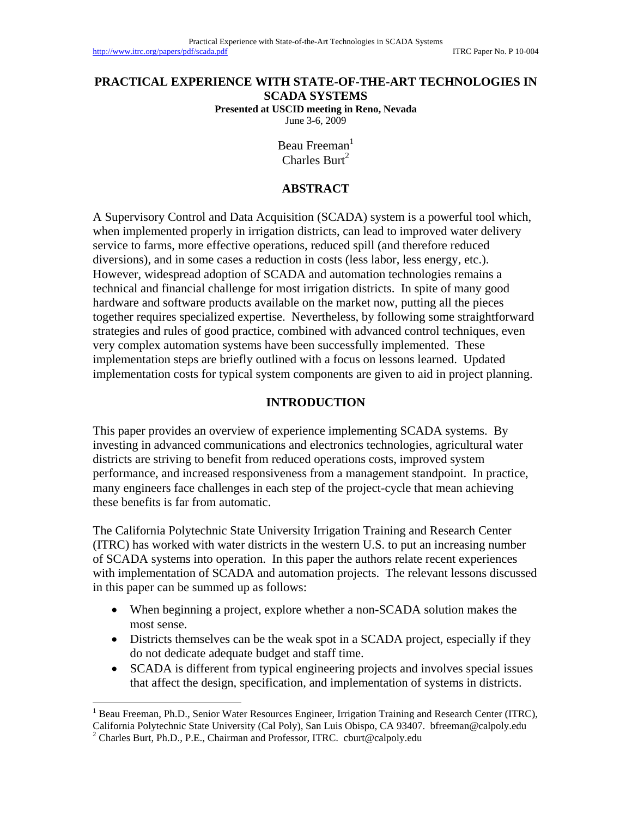#### **PRACTICAL EXPERIENCE WITH STATE-OF-THE-ART TECHNOLOGIES IN SCADA SYSTEMS Presented at USCID meeting in Reno, Nevada**

June 3-6, 2009

Beau Freeman<sup>1</sup> Charles Burt<sup>2</sup>

### **ABSTRACT**

A Supervisory Control and Data Acquisition (SCADA) system is a powerful tool which, when implemented properly in irrigation districts, can lead to improved water delivery service to farms, more effective operations, reduced spill (and therefore reduced diversions), and in some cases a reduction in costs (less labor, less energy, etc.). However, widespread adoption of SCADA and automation technologies remains a technical and financial challenge for most irrigation districts. In spite of many good hardware and software products available on the market now, putting all the pieces together requires specialized expertise. Nevertheless, by following some straightforward strategies and rules of good practice, combined with advanced control techniques, even very complex automation systems have been successfully implemented. These implementation steps are briefly outlined with a focus on lessons learned. Updated implementation costs for typical system components are given to aid in project planning.

#### **INTRODUCTION**

This paper provides an overview of experience implementing SCADA systems. By investing in advanced communications and electronics technologies, agricultural water districts are striving to benefit from reduced operations costs, improved system performance, and increased responsiveness from a management standpoint. In practice, many engineers face challenges in each step of the project-cycle that mean achieving these benefits is far from automatic.

The California Polytechnic State University Irrigation Training and Research Center (ITRC) has worked with water districts in the western U.S. to put an increasing number of SCADA systems into operation. In this paper the authors relate recent experiences with implementation of SCADA and automation projects. The relevant lessons discussed in this paper can be summed up as follows:

- When beginning a project, explore whether a non-SCADA solution makes the most sense.
- Districts themselves can be the weak spot in a SCADA project, especially if they do not dedicate adequate budget and staff time.
- SCADA is different from typical engineering projects and involves special issues that affect the design, specification, and implementation of systems in districts.

 $\overline{a}$ 

<sup>&</sup>lt;sup>1</sup> Beau Freeman, Ph.D., Senior Water Resources Engineer, Irrigation Training and Research Center (ITRC), California Polytechnic State University (Cal Poly), San Luis Obispo, CA 93407. bfreeman@calpoly.edu 2

<sup>&</sup>lt;sup>2</sup> Charles Burt, Ph.D., P.E., Chairman and Professor, ITRC. cburt@calpoly.edu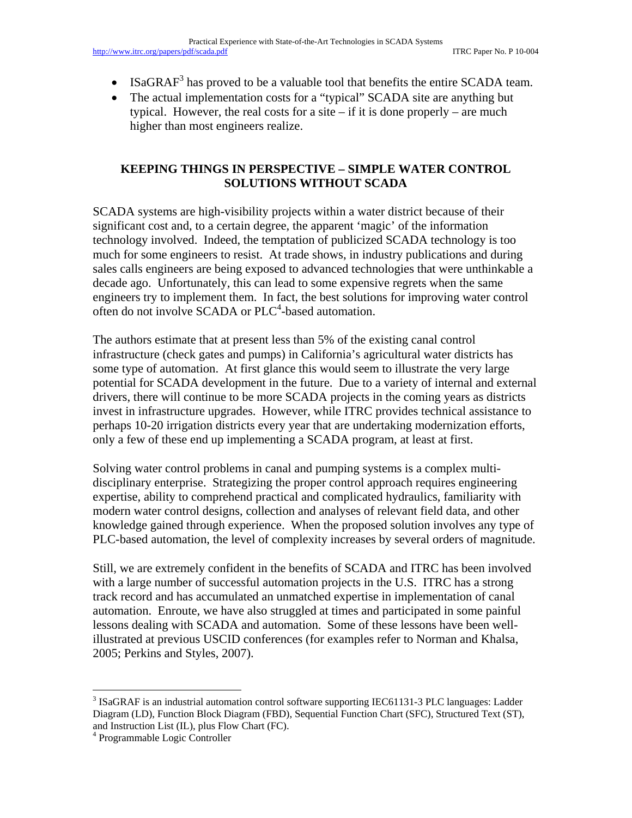- ISaGRAF<sup>3</sup> has proved to be a valuable tool that benefits the entire SCADA team.
- The actual implementation costs for a "typical" SCADA site are anything but typical. However, the real costs for a site  $-$  if it is done properly  $-$  are much higher than most engineers realize.

## **KEEPING THINGS IN PERSPECTIVE – SIMPLE WATER CONTROL SOLUTIONS WITHOUT SCADA**

SCADA systems are high-visibility projects within a water district because of their significant cost and, to a certain degree, the apparent 'magic' of the information technology involved. Indeed, the temptation of publicized SCADA technology is too much for some engineers to resist. At trade shows, in industry publications and during sales calls engineers are being exposed to advanced technologies that were unthinkable a decade ago. Unfortunately, this can lead to some expensive regrets when the same engineers try to implement them. In fact, the best solutions for improving water control often do not involve SCADA or PLC<sup>4</sup>-based automation.

The authors estimate that at present less than 5% of the existing canal control infrastructure (check gates and pumps) in California's agricultural water districts has some type of automation. At first glance this would seem to illustrate the very large potential for SCADA development in the future. Due to a variety of internal and external drivers, there will continue to be more SCADA projects in the coming years as districts invest in infrastructure upgrades. However, while ITRC provides technical assistance to perhaps 10-20 irrigation districts every year that are undertaking modernization efforts, only a few of these end up implementing a SCADA program, at least at first.

Solving water control problems in canal and pumping systems is a complex multidisciplinary enterprise. Strategizing the proper control approach requires engineering expertise, ability to comprehend practical and complicated hydraulics, familiarity with modern water control designs, collection and analyses of relevant field data, and other knowledge gained through experience. When the proposed solution involves any type of PLC-based automation, the level of complexity increases by several orders of magnitude.

Still, we are extremely confident in the benefits of SCADA and ITRC has been involved with a large number of successful automation projects in the U.S. ITRC has a strong track record and has accumulated an unmatched expertise in implementation of canal automation. Enroute, we have also struggled at times and participated in some painful lessons dealing with SCADA and automation. Some of these lessons have been wellillustrated at previous USCID conferences (for examples refer to Norman and Khalsa, 2005; Perkins and Styles, 2007).

 $\overline{a}$ 

 $3$  ISaGRAF is an industrial automation control software supporting IEC61131-3 PLC languages: Ladder Diagram (LD), Function Block Diagram (FBD), Sequential Function Chart (SFC), Structured Text (ST), and Instruction List (IL), plus Flow Chart (FC).

<sup>4</sup> Programmable Logic Controller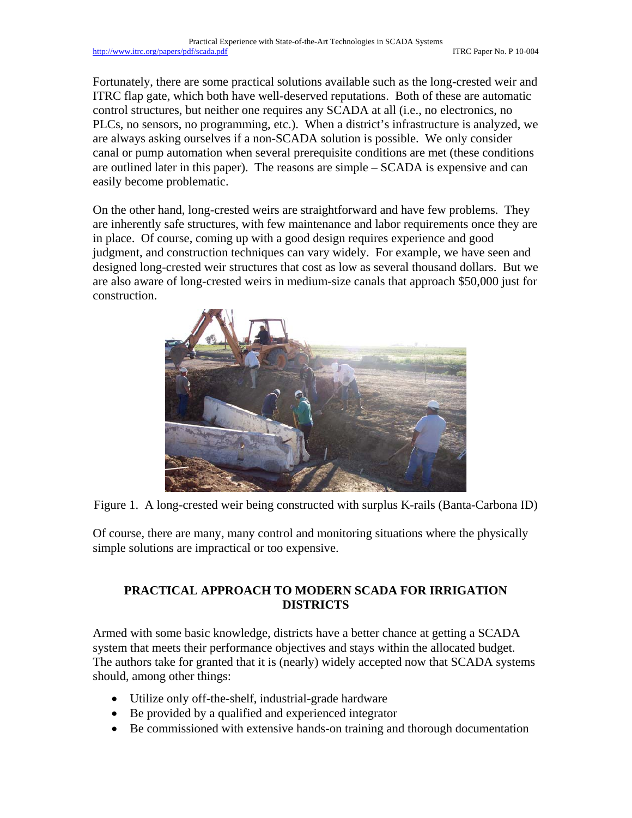Fortunately, there are some practical solutions available such as the long-crested weir and ITRC flap gate, which both have well-deserved reputations. Both of these are automatic control structures, but neither one requires any SCADA at all (i.e., no electronics, no PLCs, no sensors, no programming, etc.). When a district's infrastructure is analyzed, we are always asking ourselves if a non-SCADA solution is possible. We only consider canal or pump automation when several prerequisite conditions are met (these conditions are outlined later in this paper). The reasons are simple – SCADA is expensive and can easily become problematic.

On the other hand, long-crested weirs are straightforward and have few problems. They are inherently safe structures, with few maintenance and labor requirements once they are in place. Of course, coming up with a good design requires experience and good judgment, and construction techniques can vary widely. For example, we have seen and designed long-crested weir structures that cost as low as several thousand dollars. But we are also aware of long-crested weirs in medium-size canals that approach \$50,000 just for construction.



Figure 1. A long-crested weir being constructed with surplus K-rails (Banta-Carbona ID)

Of course, there are many, many control and monitoring situations where the physically simple solutions are impractical or too expensive.

# **PRACTICAL APPROACH TO MODERN SCADA FOR IRRIGATION DISTRICTS**

Armed with some basic knowledge, districts have a better chance at getting a SCADA system that meets their performance objectives and stays within the allocated budget. The authors take for granted that it is (nearly) widely accepted now that SCADA systems should, among other things:

- Utilize only off-the-shelf, industrial-grade hardware
- Be provided by a qualified and experienced integrator
- Be commissioned with extensive hands-on training and thorough documentation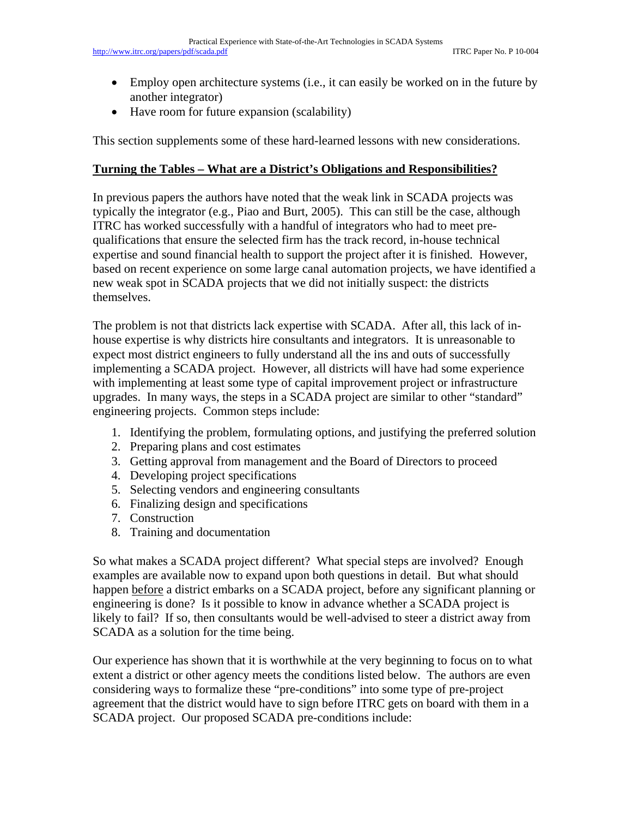- Employ open architecture systems (i.e., it can easily be worked on in the future by another integrator)
- Have room for future expansion (scalability)

This section supplements some of these hard-learned lessons with new considerations.

#### **Turning the Tables – What are a District's Obligations and Responsibilities?**

In previous papers the authors have noted that the weak link in SCADA projects was typically the integrator (e.g., Piao and Burt, 2005). This can still be the case, although ITRC has worked successfully with a handful of integrators who had to meet prequalifications that ensure the selected firm has the track record, in-house technical expertise and sound financial health to support the project after it is finished. However, based on recent experience on some large canal automation projects, we have identified a new weak spot in SCADA projects that we did not initially suspect: the districts themselves.

The problem is not that districts lack expertise with SCADA. After all, this lack of inhouse expertise is why districts hire consultants and integrators. It is unreasonable to expect most district engineers to fully understand all the ins and outs of successfully implementing a SCADA project. However, all districts will have had some experience with implementing at least some type of capital improvement project or infrastructure upgrades. In many ways, the steps in a SCADA project are similar to other "standard" engineering projects. Common steps include:

- 1. Identifying the problem, formulating options, and justifying the preferred solution
- 2. Preparing plans and cost estimates
- 3. Getting approval from management and the Board of Directors to proceed
- 4. Developing project specifications
- 5. Selecting vendors and engineering consultants
- 6. Finalizing design and specifications
- 7. Construction
- 8. Training and documentation

So what makes a SCADA project different? What special steps are involved? Enough examples are available now to expand upon both questions in detail. But what should happen before a district embarks on a SCADA project, before any significant planning or engineering is done? Is it possible to know in advance whether a SCADA project is likely to fail? If so, then consultants would be well-advised to steer a district away from SCADA as a solution for the time being.

Our experience has shown that it is worthwhile at the very beginning to focus on to what extent a district or other agency meets the conditions listed below. The authors are even considering ways to formalize these "pre-conditions" into some type of pre-project agreement that the district would have to sign before ITRC gets on board with them in a SCADA project. Our proposed SCADA pre-conditions include: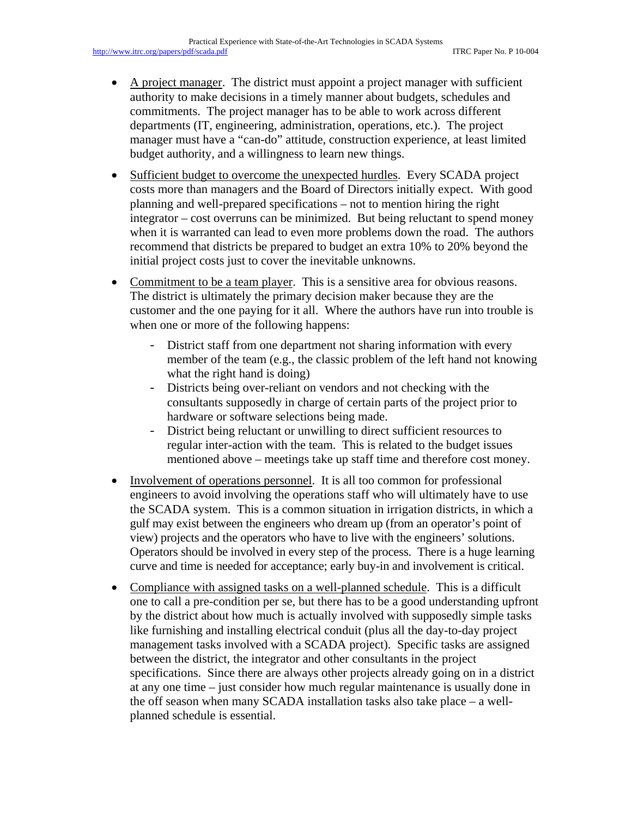- A project manager. The district must appoint a project manager with sufficient authority to make decisions in a timely manner about budgets, schedules and commitments. The project manager has to be able to work across different departments (IT, engineering, administration, operations, etc.). The project manager must have a "can-do" attitude, construction experience, at least limited budget authority, and a willingness to learn new things.
- Sufficient budget to overcome the unexpected hurdles. Every SCADA project costs more than managers and the Board of Directors initially expect. With good planning and well-prepared specifications – not to mention hiring the right integrator – cost overruns can be minimized. But being reluctant to spend money when it is warranted can lead to even more problems down the road. The authors recommend that districts be prepared to budget an extra 10% to 20% beyond the initial project costs just to cover the inevitable unknowns.
- Commitment to be a team player. This is a sensitive area for obvious reasons. The district is ultimately the primary decision maker because they are the customer and the one paying for it all. Where the authors have run into trouble is when one or more of the following happens:
	- District staff from one department not sharing information with every member of the team (e.g., the classic problem of the left hand not knowing what the right hand is doing)
	- Districts being over-reliant on vendors and not checking with the consultants supposedly in charge of certain parts of the project prior to hardware or software selections being made.
	- District being reluctant or unwilling to direct sufficient resources to regular inter-action with the team. This is related to the budget issues mentioned above – meetings take up staff time and therefore cost money.
- Involvement of operations personnel. It is all too common for professional engineers to avoid involving the operations staff who will ultimately have to use the SCADA system. This is a common situation in irrigation districts, in which a gulf may exist between the engineers who dream up (from an operator's point of view) projects and the operators who have to live with the engineers' solutions. Operators should be involved in every step of the process. There is a huge learning curve and time is needed for acceptance; early buy-in and involvement is critical.
- Compliance with assigned tasks on a well-planned schedule. This is a difficult one to call a pre-condition per se, but there has to be a good understanding upfront by the district about how much is actually involved with supposedly simple tasks like furnishing and installing electrical conduit (plus all the day-to-day project management tasks involved with a SCADA project). Specific tasks are assigned between the district, the integrator and other consultants in the project specifications. Since there are always other projects already going on in a district at any one time – just consider how much regular maintenance is usually done in the off season when many SCADA installation tasks also take place – a wellplanned schedule is essential.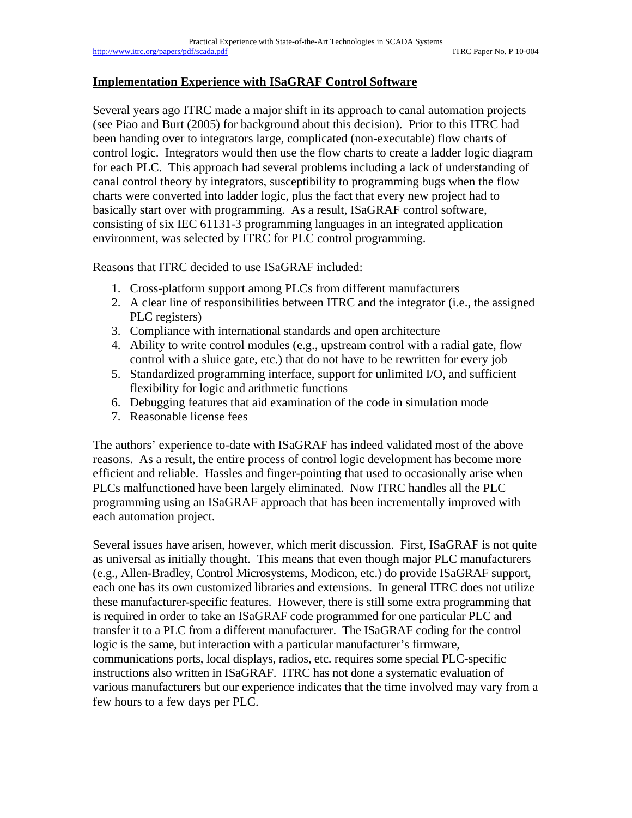#### **Implementation Experience with ISaGRAF Control Software**

Several years ago ITRC made a major shift in its approach to canal automation projects (see Piao and Burt (2005) for background about this decision). Prior to this ITRC had been handing over to integrators large, complicated (non-executable) flow charts of control logic. Integrators would then use the flow charts to create a ladder logic diagram for each PLC. This approach had several problems including a lack of understanding of canal control theory by integrators, susceptibility to programming bugs when the flow charts were converted into ladder logic, plus the fact that every new project had to basically start over with programming. As a result, ISaGRAF control software, consisting of six IEC 61131-3 programming languages in an integrated application environment, was selected by ITRC for PLC control programming.

Reasons that ITRC decided to use ISaGRAF included:

- 1. Cross-platform support among PLCs from different manufacturers
- 2. A clear line of responsibilities between ITRC and the integrator (i.e., the assigned PLC registers)
- 3. Compliance with international standards and open architecture
- 4. Ability to write control modules (e.g., upstream control with a radial gate, flow control with a sluice gate, etc.) that do not have to be rewritten for every job
- 5. Standardized programming interface, support for unlimited I/O, and sufficient flexibility for logic and arithmetic functions
- 6. Debugging features that aid examination of the code in simulation mode
- 7. Reasonable license fees

The authors' experience to-date with ISaGRAF has indeed validated most of the above reasons. As a result, the entire process of control logic development has become more efficient and reliable. Hassles and finger-pointing that used to occasionally arise when PLCs malfunctioned have been largely eliminated. Now ITRC handles all the PLC programming using an ISaGRAF approach that has been incrementally improved with each automation project.

Several issues have arisen, however, which merit discussion. First, ISaGRAF is not quite as universal as initially thought. This means that even though major PLC manufacturers (e.g., Allen-Bradley, Control Microsystems, Modicon, etc.) do provide ISaGRAF support, each one has its own customized libraries and extensions. In general ITRC does not utilize these manufacturer-specific features. However, there is still some extra programming that is required in order to take an ISaGRAF code programmed for one particular PLC and transfer it to a PLC from a different manufacturer. The ISaGRAF coding for the control logic is the same, but interaction with a particular manufacturer's firmware, communications ports, local displays, radios, etc. requires some special PLC-specific instructions also written in ISaGRAF. ITRC has not done a systematic evaluation of various manufacturers but our experience indicates that the time involved may vary from a few hours to a few days per PLC.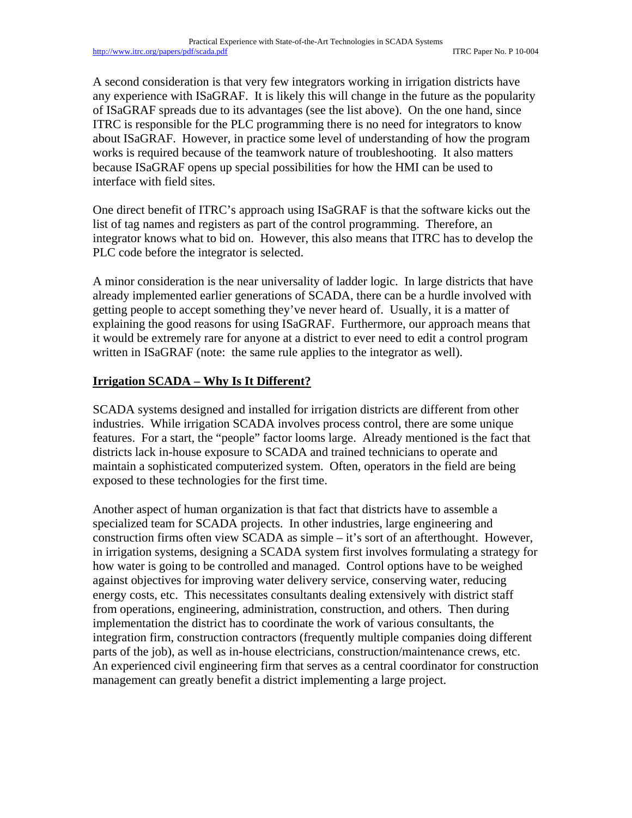A second consideration is that very few integrators working in irrigation districts have any experience with ISaGRAF. It is likely this will change in the future as the popularity of ISaGRAF spreads due to its advantages (see the list above). On the one hand, since ITRC is responsible for the PLC programming there is no need for integrators to know about ISaGRAF. However, in practice some level of understanding of how the program works is required because of the teamwork nature of troubleshooting. It also matters because ISaGRAF opens up special possibilities for how the HMI can be used to interface with field sites.

One direct benefit of ITRC's approach using ISaGRAF is that the software kicks out the list of tag names and registers as part of the control programming. Therefore, an integrator knows what to bid on. However, this also means that ITRC has to develop the PLC code before the integrator is selected.

A minor consideration is the near universality of ladder logic. In large districts that have already implemented earlier generations of SCADA, there can be a hurdle involved with getting people to accept something they've never heard of. Usually, it is a matter of explaining the good reasons for using ISaGRAF. Furthermore, our approach means that it would be extremely rare for anyone at a district to ever need to edit a control program written in ISaGRAF (note: the same rule applies to the integrator as well).

## **Irrigation SCADA – Why Is It Different?**

SCADA systems designed and installed for irrigation districts are different from other industries. While irrigation SCADA involves process control, there are some unique features. For a start, the "people" factor looms large. Already mentioned is the fact that districts lack in-house exposure to SCADA and trained technicians to operate and maintain a sophisticated computerized system. Often, operators in the field are being exposed to these technologies for the first time.

Another aspect of human organization is that fact that districts have to assemble a specialized team for SCADA projects. In other industries, large engineering and construction firms often view SCADA as simple – it's sort of an afterthought. However, in irrigation systems, designing a SCADA system first involves formulating a strategy for how water is going to be controlled and managed. Control options have to be weighed against objectives for improving water delivery service, conserving water, reducing energy costs, etc. This necessitates consultants dealing extensively with district staff from operations, engineering, administration, construction, and others. Then during implementation the district has to coordinate the work of various consultants, the integration firm, construction contractors (frequently multiple companies doing different parts of the job), as well as in-house electricians, construction/maintenance crews, etc. An experienced civil engineering firm that serves as a central coordinator for construction management can greatly benefit a district implementing a large project.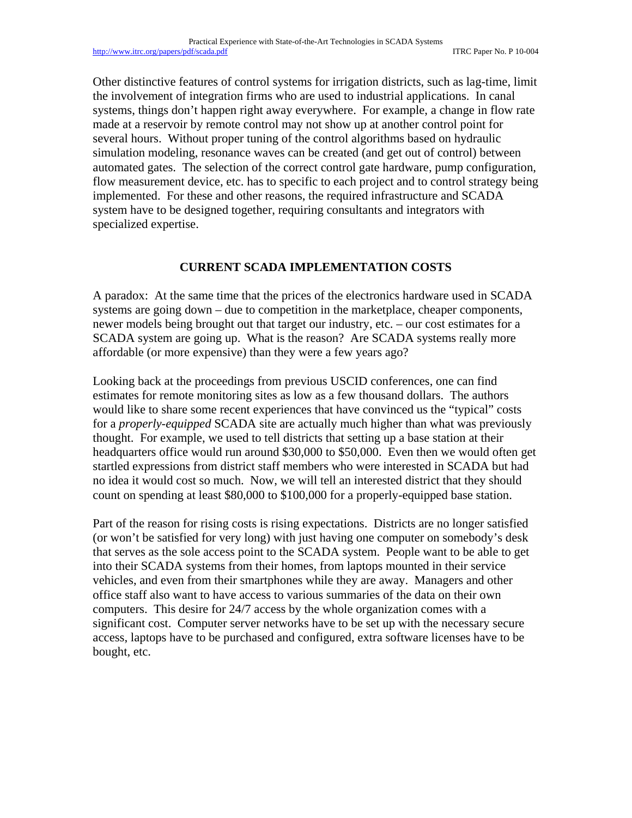Other distinctive features of control systems for irrigation districts, such as lag-time, limit the involvement of integration firms who are used to industrial applications. In canal systems, things don't happen right away everywhere. For example, a change in flow rate made at a reservoir by remote control may not show up at another control point for several hours. Without proper tuning of the control algorithms based on hydraulic simulation modeling, resonance waves can be created (and get out of control) between automated gates. The selection of the correct control gate hardware, pump configuration, flow measurement device, etc. has to specific to each project and to control strategy being implemented. For these and other reasons, the required infrastructure and SCADA system have to be designed together, requiring consultants and integrators with specialized expertise.

## **CURRENT SCADA IMPLEMENTATION COSTS**

A paradox: At the same time that the prices of the electronics hardware used in SCADA systems are going down – due to competition in the marketplace, cheaper components, newer models being brought out that target our industry, etc. – our cost estimates for a SCADA system are going up. What is the reason? Are SCADA systems really more affordable (or more expensive) than they were a few years ago?

Looking back at the proceedings from previous USCID conferences, one can find estimates for remote monitoring sites as low as a few thousand dollars. The authors would like to share some recent experiences that have convinced us the "typical" costs for a *properly-equipped* SCADA site are actually much higher than what was previously thought. For example, we used to tell districts that setting up a base station at their headquarters office would run around \$30,000 to \$50,000. Even then we would often get startled expressions from district staff members who were interested in SCADA but had no idea it would cost so much. Now, we will tell an interested district that they should count on spending at least \$80,000 to \$100,000 for a properly-equipped base station.

Part of the reason for rising costs is rising expectations. Districts are no longer satisfied (or won't be satisfied for very long) with just having one computer on somebody's desk that serves as the sole access point to the SCADA system. People want to be able to get into their SCADA systems from their homes, from laptops mounted in their service vehicles, and even from their smartphones while they are away. Managers and other office staff also want to have access to various summaries of the data on their own computers. This desire for 24/7 access by the whole organization comes with a significant cost. Computer server networks have to be set up with the necessary secure access, laptops have to be purchased and configured, extra software licenses have to be bought, etc.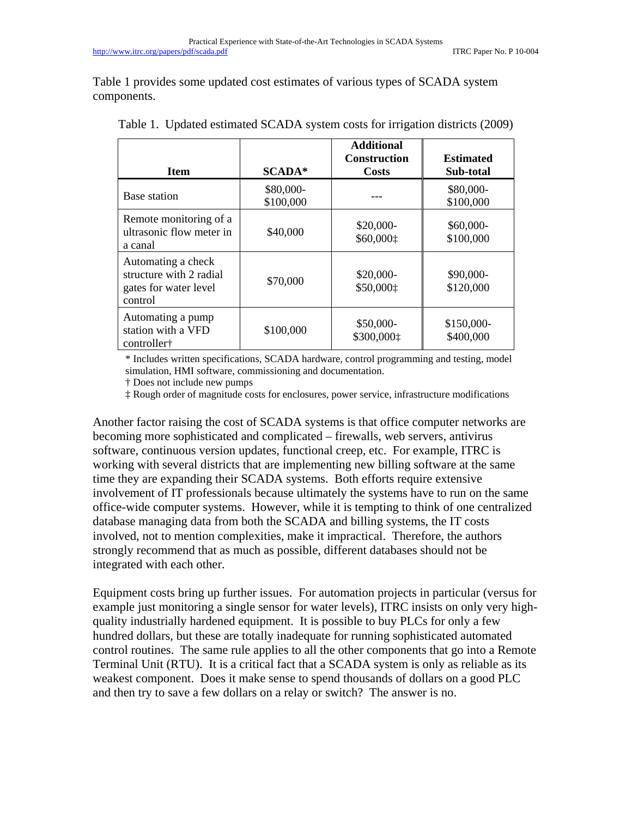Table 1 provides some updated cost estimates of various types of SCADA system components.

| <b>Item</b>                                                                       | $SCADA*$               | <b>Additional</b><br><b>Construction</b><br>Costs | <b>Estimated</b><br>Sub-total |
|-----------------------------------------------------------------------------------|------------------------|---------------------------------------------------|-------------------------------|
| Base station                                                                      | \$80,000-<br>\$100,000 |                                                   | \$80,000-<br>\$100,000        |
| Remote monitoring of a<br>ultrasonic flow meter in<br>a canal                     | \$40,000               | \$20,000-<br>\$60,0001                            | \$60,000-<br>\$100,000        |
| Automating a check<br>structure with 2 radial<br>gates for water level<br>control | \$70,000               | \$20,000-<br>\$50,000:                            | \$90,000-<br>\$120,000        |
| Automating a pump<br>station with a VFD<br>controller <sup>+</sup>                | \$100,000              | \$50,000-<br>\$300,0001                           | \$150,000-<br>\$400,000       |

Table 1. Updated estimated SCADA system costs for irrigation districts (2009)

\* Includes written specifications, SCADA hardware, control programming and testing, model simulation, HMI software, commissioning and documentation.

† Does not include new pumps

‡ Rough order of magnitude costs for enclosures, power service, infrastructure modifications

Another factor raising the cost of SCADA systems is that office computer networks are becoming more sophisticated and complicated – firewalls, web servers, antivirus software, continuous version updates, functional creep, etc. For example, ITRC is working with several districts that are implementing new billing software at the same time they are expanding their SCADA systems. Both efforts require extensive involvement of IT professionals because ultimately the systems have to run on the same office-wide computer systems. However, while it is tempting to think of one centralized database managing data from both the SCADA and billing systems, the IT costs involved, not to mention complexities, make it impractical. Therefore, the authors strongly recommend that as much as possible, different databases should not be integrated with each other.

Equipment costs bring up further issues. For automation projects in particular (versus for example just monitoring a single sensor for water levels), ITRC insists on only very highquality industrially hardened equipment. It is possible to buy PLCs for only a few hundred dollars, but these are totally inadequate for running sophisticated automated control routines. The same rule applies to all the other components that go into a Remote Terminal Unit (RTU). It is a critical fact that a SCADA system is only as reliable as its weakest component. Does it make sense to spend thousands of dollars on a good PLC and then try to save a few dollars on a relay or switch? The answer is no.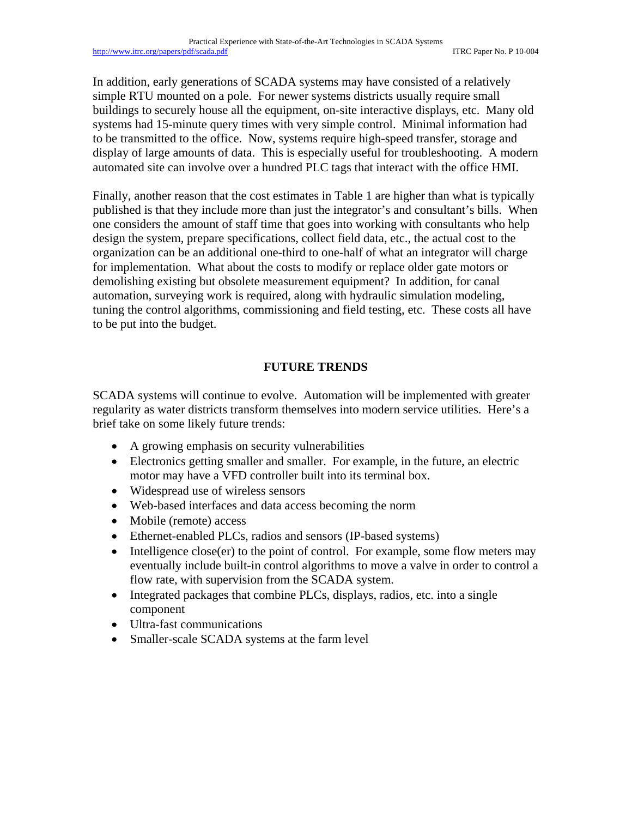In addition, early generations of SCADA systems may have consisted of a relatively simple RTU mounted on a pole. For newer systems districts usually require small buildings to securely house all the equipment, on-site interactive displays, etc. Many old systems had 15-minute query times with very simple control. Minimal information had to be transmitted to the office. Now, systems require high-speed transfer, storage and display of large amounts of data. This is especially useful for troubleshooting. A modern automated site can involve over a hundred PLC tags that interact with the office HMI.

Finally, another reason that the cost estimates in Table 1 are higher than what is typically published is that they include more than just the integrator's and consultant's bills. When one considers the amount of staff time that goes into working with consultants who help design the system, prepare specifications, collect field data, etc., the actual cost to the organization can be an additional one-third to one-half of what an integrator will charge for implementation. What about the costs to modify or replace older gate motors or demolishing existing but obsolete measurement equipment? In addition, for canal automation, surveying work is required, along with hydraulic simulation modeling, tuning the control algorithms, commissioning and field testing, etc. These costs all have to be put into the budget.

# **FUTURE TRENDS**

SCADA systems will continue to evolve. Automation will be implemented with greater regularity as water districts transform themselves into modern service utilities. Here's a brief take on some likely future trends:

- A growing emphasis on security vulnerabilities
- Electronics getting smaller and smaller. For example, in the future, an electric motor may have a VFD controller built into its terminal box.
- Widespread use of wireless sensors
- Web-based interfaces and data access becoming the norm
- Mobile (remote) access
- Ethernet-enabled PLCs, radios and sensors (IP-based systems)
- Intelligence close(er) to the point of control. For example, some flow meters may eventually include built-in control algorithms to move a valve in order to control a flow rate, with supervision from the SCADA system.
- Integrated packages that combine PLCs, displays, radios, etc. into a single component
- Ultra-fast communications
- Smaller-scale SCADA systems at the farm level